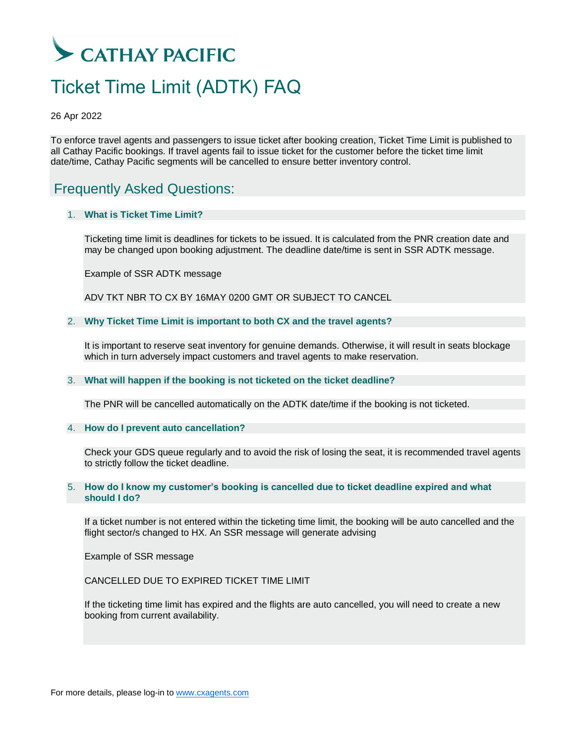# CATHAY PACIFIC

## Ticket Time Limit (ADTK) FAQ

26 Apr 2022

To enforce travel agents and passengers to issue ticket after booking creation, Ticket Time Limit is published to all Cathay Pacific bookings. If travel agents fail to issue ticket for the customer before the ticket time limit date/time, Cathay Pacific segments will be cancelled to ensure better inventory control.

### Frequently Asked Questions:

#### 1. **What is Ticket Time Limit?**

Ticketing time limit is deadlines for tickets to be issued. It is calculated from the PNR creation date and may be changed upon booking adjustment. The deadline date/time is sent in SSR ADTK message.

Example of SSR ADTK message

ADV TKT NBR TO CX BY 16MAY 0200 GMT OR SUBJECT TO CANCEL

#### 2. **Why Ticket Time Limit is important to both CX and the travel agents?**

It is important to reserve seat inventory for genuine demands. Otherwise, it will result in seats blockage which in turn adversely impact customers and travel agents to make reservation.

#### 3. **What will happen if the booking is not ticketed on the ticket deadline?**

The PNR will be cancelled automatically on the ADTK date/time if the booking is not ticketed.

#### 4. **How do I prevent auto cancellation?**

Check your GDS queue regularly and to avoid the risk of losing the seat, it is recommended travel agents to strictly follow the ticket deadline.

#### 5. **How do I know my customer's booking is cancelled due to ticket deadline expired and what should I do?**

If a ticket number is not entered within the ticketing time limit, the booking will be auto cancelled and the flight sector/s changed to HX. An SSR message will generate advising

Example of SSR message

CANCELLED DUE TO EXPIRED TICKET TIME LIMIT

If the ticketing time limit has expired and the flights are auto cancelled, you will need to create a new booking from current availability.